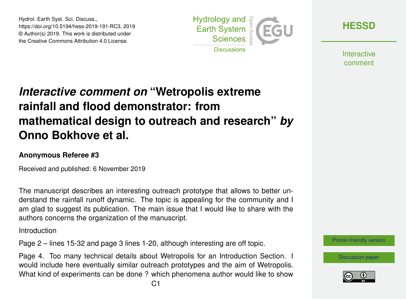Hydrol. Earth Syst. Sci. Discuss., https://doi.org/10.5194/hess-2019-191-RC3, 2019 © Author(s) 2019. This work is distributed under the Creative Commons Attribution 4.0 License.



**[HESSD](https://www.hydrol-earth-syst-sci-discuss.net/)**

**Interactive** comment

## *Interactive comment on* **"Wetropolis extreme rainfall and flood demonstrator: from mathematical design to outreach and research"** *by* **Onno Bokhove et al.**

## **Anonymous Referee #3**

Received and published: 6 November 2019

The manuscript describes an interesting outreach prototype that allows to better understand the rainfall runoff dynamic. The topic is appealing for the community and I am glad to suggest its publication. The main issue that I would like to share with the authors concerns the organization of the manuscript.

Introduction

Page 2 – lines 15-32 and page 3 lines 1-20, although interesting are off topic.

Page 4. Too many technical details about Wetropolis for an Introduction Section. I would include here eventually similar outreach prototypes and the aim of Wetropolis. What kind of experiments can be done ? which phenomena author would like to show



[Discussion paper](https://www.hydrol-earth-syst-sci-discuss.net/hess-2019-191)